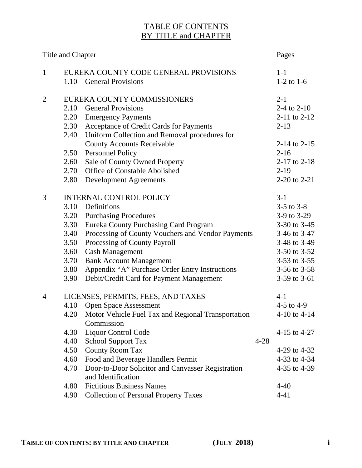## TABLE OF CONTENTS BY TITLE and CHAPTER

| <b>Title and Chapter</b> |                             |                                                                       | Pages            |
|--------------------------|-----------------------------|-----------------------------------------------------------------------|------------------|
|                          |                             |                                                                       |                  |
| 1                        |                             | EUREKA COUNTY CODE GENERAL PROVISIONS                                 | $1-1$            |
|                          | 1.10                        | <b>General Provisions</b>                                             | $1-2$ to $1-6$   |
| $\overline{2}$           | EUREKA COUNTY COMMISSIONERS | $2 - 1$                                                               |                  |
|                          | 2.10                        | 2-4 to 2-10                                                           |                  |
|                          | 2.20                        | <b>Emergency Payments</b>                                             | $2-11$ to $2-12$ |
|                          | 2.30                        | Acceptance of Credit Cards for Payments                               | $2 - 13$         |
|                          | 2.40                        | Uniform Collection and Removal procedures for                         |                  |
|                          |                             | <b>County Accounts Receivable</b>                                     | 2-14 to $2-15$   |
|                          | 2.50                        | Personnel Policy                                                      | $2 - 16$         |
|                          | 2.60                        | Sale of County Owned Property                                         | $2-17$ to $2-18$ |
|                          | 2.70                        | Office of Constable Abolished                                         | $2-19$           |
|                          | 2.80                        | <b>Development Agreements</b>                                         | 2-20 to 2-21     |
| 3                        |                             | <b>INTERNAL CONTROL POLICY</b>                                        | $3-1$            |
|                          | 3.10                        | Definitions                                                           | $3-5$ to $3-8$   |
|                          | 3.20                        | <b>Purchasing Procedures</b>                                          | 3-9 to 3-29      |
|                          | 3.30                        | Eureka County Purchasing Card Program                                 | 3-30 to 3-45     |
|                          | 3.40                        | Processing of County Vouchers and Vendor Payments                     | 3-46 to 3-47     |
|                          | 3.50                        | Processing of County Payroll                                          | 3-48 to 3-49     |
|                          | 3.60                        | <b>Cash Management</b>                                                | 3-50 to $3-52$   |
|                          | 3.70                        | <b>Bank Account Management</b>                                        | 3-53 to $3-55$   |
|                          | 3.80                        | Appendix "A" Purchase Order Entry Instructions                        | 3-56 to $3-58$   |
|                          | 3.90                        | Debit/Credit Card for Payment Management                              | 3-59 to 3-61     |
| 4                        |                             | LICENSES, PERMITS, FEES, AND TAXES                                    | $4-1$            |
|                          | 4.10                        | <b>Open Space Assessment</b>                                          | 4-5 to 4-9       |
|                          |                             | 4.20 Motor Vehicle Fuel Tax and Regional Transportation<br>Commission | 4-10 to $4-14$   |
|                          | 4.30                        | <b>Liquor Control Code</b>                                            | 4-15 to 4-27     |
|                          | 4.40                        | <b>School Support Tax</b><br>$4 - 28$                                 |                  |
|                          | 4.50                        | <b>County Room Tax</b>                                                | 4-29 to $4-32$   |
|                          | 4.60                        | Food and Beverage Handlers Permit                                     | 4-33 to 4-34     |
|                          | 4.70                        | Door-to-Door Solicitor and Canvasser Registration                     | 4-35 to 4-39     |
|                          |                             | and Identification                                                    |                  |
|                          | 4.80                        | <b>Fictitious Business Names</b>                                      | $4 - 40$         |
|                          | 4.90                        | <b>Collection of Personal Property Taxes</b>                          | $4 - 41$         |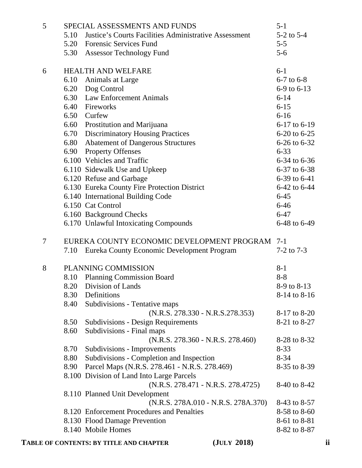| 5      |      | SPECIAL ASSESSMENTS AND FUNDS                                                     | $5 - 1$        |    |
|--------|------|-----------------------------------------------------------------------------------|----------------|----|
|        | 5.10 | <b>Iustice's Courts Facilities Administrative Assessment</b>                      | $5-2$ to $5-4$ |    |
|        |      | 5.20 Forensic Services Fund                                                       | $5 - 5$        |    |
|        |      | 5.30 Assessor Technology Fund                                                     | $5 - 6$        |    |
| 6      |      | <b>HEALTH AND WELFARE</b>                                                         | $6-1$          |    |
|        |      | 6.10 Animals at Large                                                             | $6-7$ to $6-8$ |    |
|        |      | 6.20 Dog Control                                                                  | 6-9 to 6-13    |    |
|        |      | 6.30 Law Enforcement Animals                                                      | $6 - 14$       |    |
|        |      | 6.40 Fireworks                                                                    | $6 - 15$       |    |
|        |      | 6.50 Curfew                                                                       | $6 - 16$       |    |
|        |      | 6.60 Prostitution and Marijuana                                                   | 6-17 to 6-19   |    |
|        |      | 6.70 Discriminatory Housing Practices                                             | 6-20 to 6-25   |    |
|        | 6.80 | <b>Abatement of Dangerous Structures</b>                                          | 6-26 to 6-32   |    |
|        |      | 6.90 Property Offenses                                                            | $6 - 33$       |    |
|        |      | 6.100 Vehicles and Traffic                                                        | 6-34 to 6-36   |    |
|        |      | 6.110 Sidewalk Use and Upkeep                                                     | 6-37 to 6-38   |    |
|        |      | 6.120 Refuse and Garbage                                                          | 6-39 to 6-41   |    |
|        |      | 6.130 Eureka County Fire Protection District                                      | 6-42 to 6-44   |    |
|        |      | 6.140 International Building Code                                                 | $6 - 45$       |    |
|        |      | 6.150 Cat Control                                                                 | $6 - 46$       |    |
|        |      | 6.160 Background Checks                                                           | $6 - 47$       |    |
|        |      | 6.170 Unlawful Intoxicating Compounds                                             | 6-48 to 6-49   |    |
| $\tau$ |      | EUREKA COUNTY ECONOMIC DEVELOPMENT PROGRAM 7-1                                    |                |    |
|        | 7.10 | Eureka County Economic Development Program                                        | $7-2$ to $7-3$ |    |
| 8      |      | PLANNING COMMISSION                                                               | $8-1$          |    |
|        | 8.10 | <b>Planning Commission Board</b>                                                  | $8 - 8$        |    |
|        |      | 8.20 Division of Lands                                                            | 8-9 to 8-13    |    |
|        | 8.30 | Definitions                                                                       | 8-14 to 8-16   |    |
|        | 8.40 | Subdivisions - Tentative maps                                                     |                |    |
|        |      | $(N.R.S. 278.330 - N.R.S.278.353)$                                                | 8-17 to 8-20   |    |
|        | 8.50 | <b>Subdivisions - Design Requirements</b>                                         | 8-21 to 8-27   |    |
|        | 8.60 | Subdivisions - Final maps                                                         |                |    |
|        |      | $(N.R.S. 278.360 - N.R.S. 278.460)$                                               | 8-28 to 8-32   |    |
|        | 8.70 | Subdivisions - Improvements                                                       | $8 - 33$       |    |
|        | 8.80 | Subdivisions - Completion and Inspection                                          | $8 - 34$       |    |
|        | 8.90 | Parcel Maps (N.R.S. 278.461 - N.R.S. 278.469)                                     | 8-35 to 8-39   |    |
|        |      | 8.100 Division of Land Into Large Parcels<br>$(N.R.S. 278.471 - N.R.S. 278.4725)$ | 8-40 to 8-42   |    |
|        |      | 8.110 Planned Unit Development                                                    |                |    |
|        |      | $(N.R.S. 278A.010 - N.R.S. 278A.370)$                                             | 8-43 to 8-57   |    |
|        |      | 8.120 Enforcement Procedures and Penalties                                        | 8-58 to 8-60   |    |
|        |      | 8.130 Flood Damage Prevention                                                     | 8-61 to 8-81   |    |
|        |      | 8.140 Mobile Homes                                                                | 8-82 to 8-87   |    |
|        |      | (JULY 2018)<br>TABLE OF CONTENTS: BY TITLE AND CHAPTER                            |                | ii |
|        |      |                                                                                   |                |    |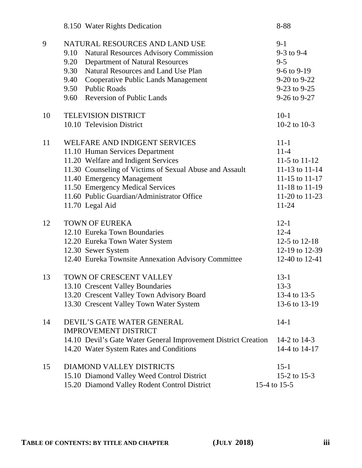|    | 8.150 Water Rights Dedication                                                                                                                                                                                                                                                                         | 8-88                                                                                                                   |
|----|-------------------------------------------------------------------------------------------------------------------------------------------------------------------------------------------------------------------------------------------------------------------------------------------------------|------------------------------------------------------------------------------------------------------------------------|
| 9  | NATURAL RESOURCES AND LAND USE<br>9.10<br><b>Natural Resources Advisory Commission</b><br>Department of Natural Resources<br>9.20<br>9.30<br>Natural Resources and Land Use Plan<br>9.40<br>Cooperative Public Lands Management<br><b>Public Roads</b><br>9.50<br>9.60 Reversion of Public Lands      | $9-1$<br>$9-3$ to $9-4$<br>$9 - 5$<br>9-6 to 9-19<br>9-20 to 9-22<br>9-23 to 9-25<br>9-26 to 9-27                      |
| 10 | <b>TELEVISION DISTRICT</b><br>10.10 Television District                                                                                                                                                                                                                                               | $10-1$<br>10-2 to 10-3                                                                                                 |
| 11 | WELFARE AND INDIGENT SERVICES<br>11.10 Human Services Department<br>11.20 Welfare and Indigent Services<br>11.30 Counseling of Victims of Sexual Abuse and Assault<br>11.40 Emergency Management<br>11.50 Emergency Medical Services<br>11.60 Public Guardian/Administrator Office<br>11.70 Legal Aid | $11 - 1$<br>$11-4$<br>11-5 to $11-12$<br>11-13 to 11-14<br>11-15 to 11-17<br>11-18 to 11-19<br>11-20 to 11-23<br>11-24 |
| 12 | <b>TOWN OF EUREKA</b><br>12.10 Eureka Town Boundaries<br>12.20 Eureka Town Water System<br>12.30 Sewer System<br>12.40 Eureka Townsite Annexation Advisory Committee                                                                                                                                  | $12 - 1$<br>$12 - 4$<br>12-5 to 12-18<br>12-19 to 12-39<br>12-40 to 12-41                                              |
| 13 | TOWN OF CRESCENT VALLEY<br>13.10 Crescent Valley Boundaries<br>13.20 Crescent Valley Town Advisory Board<br>13.30 Crescent Valley Town Water System                                                                                                                                                   | $13 - 1$<br>$13 - 3$<br>13-4 to 13-5<br>13-6 to 13-19                                                                  |
| 14 | DEVIL'S GATE WATER GENERAL<br><b>IMPROVEMENT DISTRICT</b><br>14.10 Devil's Gate Water General Improvement District Creation<br>14.20 Water System Rates and Conditions                                                                                                                                | $14-1$<br>14-2 to 14-3<br>14-4 to 14-17                                                                                |
| 15 | DIAMOND VALLEY DISTRICTS<br>15.10 Diamond Valley Weed Control District<br>15.20 Diamond Valley Rodent Control District                                                                                                                                                                                | $15 - 1$<br>15-2 to 15-3<br>15-4 to 15-5                                                                               |